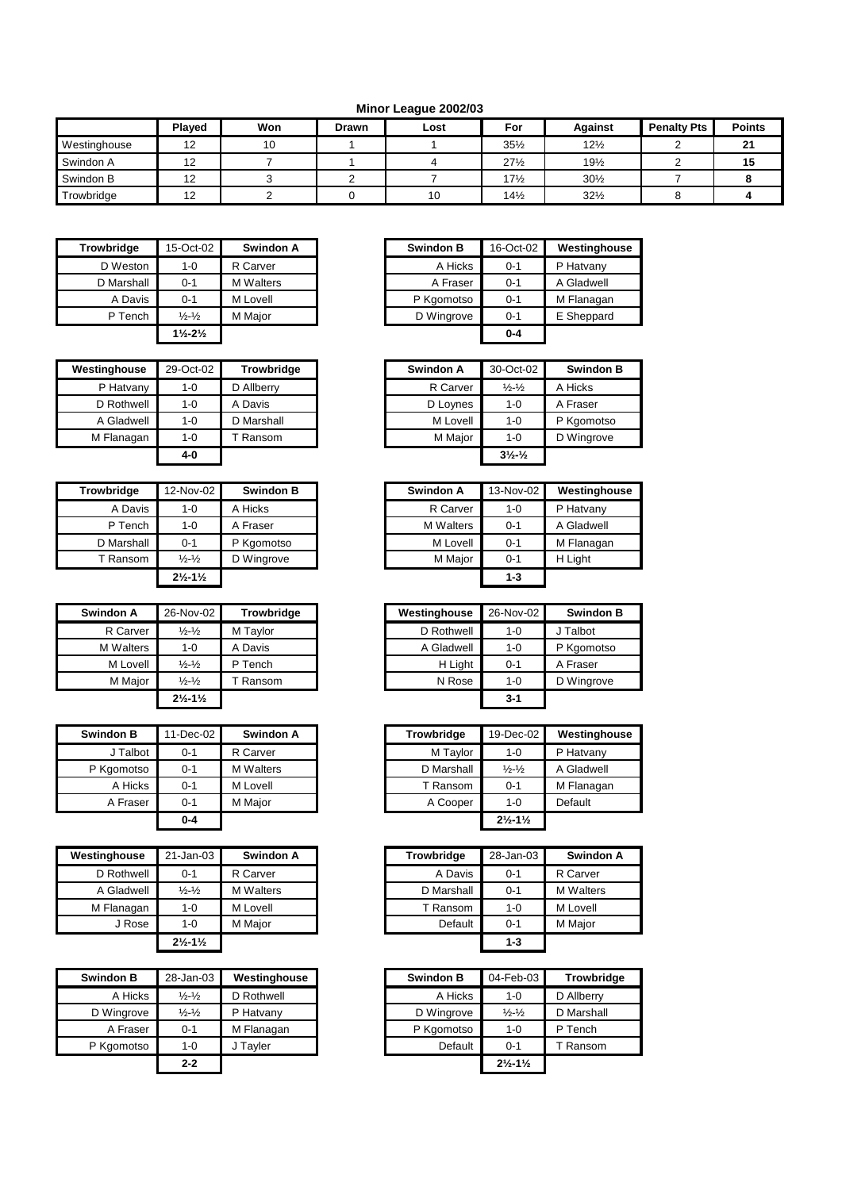## **Minor League 2002/03**

|              | <b>Plaved</b>         | Won | Drawn | Lost | For             | <b>Against</b>  | <b>Penalty Pts</b> | <b>Points</b>       |
|--------------|-----------------------|-----|-------|------|-----------------|-----------------|--------------------|---------------------|
| Westinghouse | $\overline{ }$<br>ے ا | 10  |       |      | $35\frac{1}{2}$ | $12\frac{1}{2}$ |                    | $\mathbf{A}$<br>4 I |
| Swindon A    | $\overline{ }$<br>ı∠  |     |       |      | $27\frac{1}{2}$ | 19½             |                    | ιυ                  |
| Swindon B    | $\overline{ }$<br>ے ا |     |       |      | $17\frac{1}{2}$ | $30\frac{1}{2}$ |                    |                     |
| Trowbridge   | $\overline{ }$<br>ız  |     |       | 10   | $14\frac{1}{2}$ | $32\frac{1}{2}$ |                    |                     |

| <b>Trowbridge</b> | 15-Oct-02                     | Swindon A        | <b>Swindon B</b> | 16-Oct-02 |
|-------------------|-------------------------------|------------------|------------------|-----------|
| D Weston          | 1-0                           | R Carver         | A Hicks          | $0 - 1$   |
| D Marshall        | $0 - 1$                       | <b>M</b> Walters | A Fraser         | $0 - 1$   |
| A Davis           | $0 - 1$                       | M Lovell         | P Kgomotso       | $0 - 1$   |
| P Tench           | $\frac{1}{2} - \frac{1}{2}$   | M Major          | D Wingrove       | $0 - 1$   |
|                   | $1\frac{1}{2} - 2\frac{1}{2}$ |                  |                  | $0 - 4$   |

| Westinghouse | 29-Oct-02 | Trowbridge | Swindon A | 30-Oct-02                   | <b>Swindon B</b> |
|--------------|-----------|------------|-----------|-----------------------------|------------------|
| P Hatvany    | 1-0       | D Allberry | R Carver  | $\frac{1}{2} - \frac{1}{2}$ | A Hicks          |
| D Rothwell   | 1-0       | A Davis    | D Loynes  | $1 - 0$                     | A Fraser         |
| A Gladwell   | 1-0       | D Marshall | M Lovell  | $1 - 0$                     | P Kgomotso       |
| M Flanagan   | 1-0       | Ransom     | M Major   | $1 - 0$                     | D Wingrove       |
|              | $4-0$     |            |           | $3\frac{1}{2}\frac{1}{2}$   |                  |

| <b>Trowbridge</b> | 12-Nov-02                     | <b>Swindon B</b> | Swindon A        | 13-Nov-02 | Westin  |
|-------------------|-------------------------------|------------------|------------------|-----------|---------|
| A Davis           | $1 - 0$                       | A Hicks          | R Carver         | $1 - 0$   | P Hatv  |
| P Tench           | $1 - 0$                       | A Fraser         | <b>M</b> Walters | $0 - 1$   | A Glad  |
| D Marshall        | $0 - 1$                       | P Kgomotso       | M Lovell         | $0 - 1$   | M Flan  |
| T Ransom          | $\frac{1}{2} - \frac{1}{2}$   | D Wingrove       | M Major          | $0 - 1$   | H Light |
|                   | $2\frac{1}{2} - 1\frac{1}{2}$ |                  |                  | $1 - 3$   |         |

| <b>Swindon A</b> | 26-Nov-02                     | <b>Trowbridge</b> |
|------------------|-------------------------------|-------------------|
| R Carver         | $\frac{1}{2}$ - $\frac{1}{2}$ | M Taylor          |
| <b>M</b> Walters | $1 - 0$                       | A Davis           |
| M Lovell         | $\frac{1}{2}$ - $\frac{1}{2}$ | P Tench           |
| M Major          | $\frac{1}{2}$ - $\frac{1}{2}$ | T Ransom          |
|                  | $2\frac{1}{2} - 1\frac{1}{2}$ |                   |

| <b>Swindon B</b> | 11-Dec-02 | Swindon A        | <b>Trowbridge</b> | 19-Dec-02                     | Westingh   |
|------------------|-----------|------------------|-------------------|-------------------------------|------------|
| J Talbot         | $0 - 1$   | R Carver         | M Taylor          | $1 - 0$                       | P Hatvany  |
| P Kgomotso       | $0 - 1$   | <b>M</b> Walters | D Marshall        | $\frac{1}{2} - \frac{1}{2}$   | A Gladwell |
| A Hicks          | $0 - 1$   | M Lovell         | T Ransom          | $0 - 1$                       | M Flanaga  |
| A Fraser         | $0 - 1$   | M Major          | A Cooper          | $1 - 0$                       | Default    |
|                  | $0 - 4$   |                  |                   | $2\frac{1}{2} - 1\frac{1}{2}$ |            |

| Westinghouse | 21-Jan-03                     | Swindon A        | <b>Trowbridge</b> | 28-Jan-03 | <b>Swindon A</b> |
|--------------|-------------------------------|------------------|-------------------|-----------|------------------|
| D Rothwell   | $0 - 1$                       | R Carver         | A Davis           | $0 - 1$   | R Carver         |
| A Gladwell   | $\frac{1}{2} - \frac{1}{2}$   | <b>M</b> Walters | D Marshall        | $0 - 1$   | <b>M</b> Walters |
| M Flanagan   | 1-0                           | M Lovell         | T Ransom          | $1 - 0$   | M Lovell         |
| J Rose       | 1-0                           | M Maior          | Default           | $0 - 1$   | M Maior          |
|              | $2\frac{1}{2} - 1\frac{1}{2}$ |                  |                   | $1 - 3$   |                  |

| <b>Swindon B</b> | 28-Jan-03                   | Westinghouse | <b>Swindon B</b> | 04-Feb-03                     |            |
|------------------|-----------------------------|--------------|------------------|-------------------------------|------------|
| A Hicks          | $\frac{1}{2} - \frac{1}{2}$ | D Rothwell   | A Hicks          | $1 - 0$                       | D Allberry |
| D Wingrove       | $\frac{1}{2} - \frac{1}{2}$ | P Hatvany    | D Wingrove       | $\frac{1}{2} - \frac{1}{2}$   | D Marshall |
| A Fraser         | $0 - 1$                     | M Flanagan   | P Kgomotso       | $1 - 0$                       | P Tench    |
| P Kgomotso       | 1-0                         | J Tayler     | Default          | $0 - 1$                       |            |
|                  | $2 - 2$                     |              |                  | $2\frac{1}{2} - 1\frac{1}{2}$ |            |

| <b>Trowbridge</b> | 15-Oct-02                     | Swindon A        |
|-------------------|-------------------------------|------------------|
| D Weston          | 1-0                           | R Carver         |
| D Marshall        | $0 - 1$                       | <b>M</b> Walters |
| A Davis           | $0 - 1$                       | M Lovell         |
| P Tench           | $\frac{1}{2} - \frac{1}{2}$   | M Major          |
|                   | $1\frac{1}{2} - 2\frac{1}{2}$ |                  |

| stinghouse | 29-Oct-02 | <b>Trowbridge</b> | Swindon A | 30-Oct-02                   | <b>Swindon B</b> |
|------------|-----------|-------------------|-----------|-----------------------------|------------------|
| P Hatvany  | 1-0       | D Allberry        | R Carver  | $\frac{1}{2} - \frac{1}{2}$ | A Hicks          |
| D Rothwell | 1-0       | A Davis           | D Loynes  | 1-0                         | A Fraser         |
| A Gladwell | 1-0       | D Marshall        | M Lovell  | 1-0                         | P Kgomotso       |
| M Flanagan | $1 - 0$   | Ransom            | M Major   | 1-0                         | D Wingrove       |
|            | 4-0       |                   |           | $3\frac{1}{2}\frac{1}{2}$   |                  |

| <b>Trowbridge</b> | 12-Nov-02                     | <b>Swindon B</b> | Swindon A        | 13-Nov-02 | Westinghouse |
|-------------------|-------------------------------|------------------|------------------|-----------|--------------|
| A Davis           | $1 - 0$                       | A Hicks          | R Carver         | $1 - 0$   | P Hatvany    |
| P Tench           | $1 - 0$                       | A Fraser         | <b>M</b> Walters | $0 - 1$   | A Gladwell   |
| D Marshall        | $0 - 1$                       | P Kgomotso       | M Lovell         | $0 - 1$   | M Flanagan   |
| T Ransom          | $\frac{1}{2} - \frac{1}{2}$   | D Wingrove       | M Major          | $0 - 1$   | H Light      |
|                   | $2\frac{1}{2} - 1\frac{1}{2}$ |                  |                  | $1 - 3$   |              |

| Swindon A | 26-Nov-02                     | <b>Trowbridge</b> | Westinghouse | 26-Nov-02 | <b>Swindon B</b> |
|-----------|-------------------------------|-------------------|--------------|-----------|------------------|
| R Carver  | $\frac{1}{2} - \frac{1}{2}$   | M Taylor          | D Rothwell   | $1 - 0$   | Talbot           |
| M Walters | 1-0                           | A Davis           | A Gladwell   | $1 - 0$   | P Kgomotso       |
| M Lovell  | $\frac{1}{2} - \frac{1}{2}$   | P Tench           | H Light      | $0 - 1$   | A Fraser         |
| M Maior   | $\frac{1}{2} - \frac{1}{2}$   | Ransom            | N Rose       | $1 - 0$   | D Wingrove       |
|           | $2\frac{1}{2} - 1\frac{1}{2}$ |                   |              | $3 - 1$   |                  |

| <b>Swindon B</b> | 11-Dec-02 | Swindon A        | <b>Trowbridge</b> | 19-Dec-02                     | Westinghouse |
|------------------|-----------|------------------|-------------------|-------------------------------|--------------|
| J Talbot         | $0 - 1$   | R Carver         | M Taylor          | $1 - 0$                       | P Hatvany    |
| P Kgomotso       | $0 - 1$   | <b>M</b> Walters | D Marshall        | $\frac{1}{2} - \frac{1}{2}$   | A Gladwell   |
| A Hicks          | $0 - 1$   | M Lovell         | T Ransom          | $0 - 1$                       | M Flanagan   |
| A Fraser         | $0 - 1$   | M Major          | A Cooper          | $1 - 0$                       | Default      |
|                  | $0 - 4$   |                  |                   | $2\frac{1}{2} - 1\frac{1}{2}$ |              |

| house           | $21 - Jan-03$                 | Swindon A        | <b>Trowbridge</b> | 28-Jan-03 | Swindon A        |
|-----------------|-------------------------------|------------------|-------------------|-----------|------------------|
| <b>Rothwell</b> | $0 - 1$                       | R Carver         | A Davis           | $0 - 1$   | R Carver         |
| <b>Gladwell</b> | $\frac{1}{2} - \frac{1}{2}$   | <b>M</b> Walters | D Marshall        | $0 - 1$   | <b>M</b> Walters |
| anagan          | $1 - 0$                       | M Lovell         | T Ransom          | $1 - 0$   | M Lovell         |
| J Rose          | $1 - 0$                       | M Maior          | Default           | $0 - 1$   | M Maior          |
|                 | $2\frac{1}{2} - 1\frac{1}{2}$ |                  |                   | $1 - 3$   |                  |

| <b>Swindon B</b> | 28-Jan-03                   | Westinghouse | <b>Swindon B</b> | 04-Feb-03                     | <b>Trowbridge</b> |
|------------------|-----------------------------|--------------|------------------|-------------------------------|-------------------|
| A Hicks          | $\frac{1}{2} - \frac{1}{2}$ | D Rothwell   | A Hicks          | 1-0                           | D Allberry        |
| D Wingrove       | $\frac{1}{2} - \frac{1}{2}$ | P Hatvany    | D Wingrove       | $\frac{1}{2} - \frac{1}{2}$   | D Marshall        |
| A Fraser         | $0 - 1$                     | M Flanagan   | P Kgomotso       | $1 - 0$                       | P Tench           |
| P Kgomotso       | 1-0                         | J Tayler     | Default          | $0 - 1$                       | T Ransom          |
|                  | $2 - 2$                     |              |                  | $2\frac{1}{2} - 1\frac{1}{2}$ |                   |